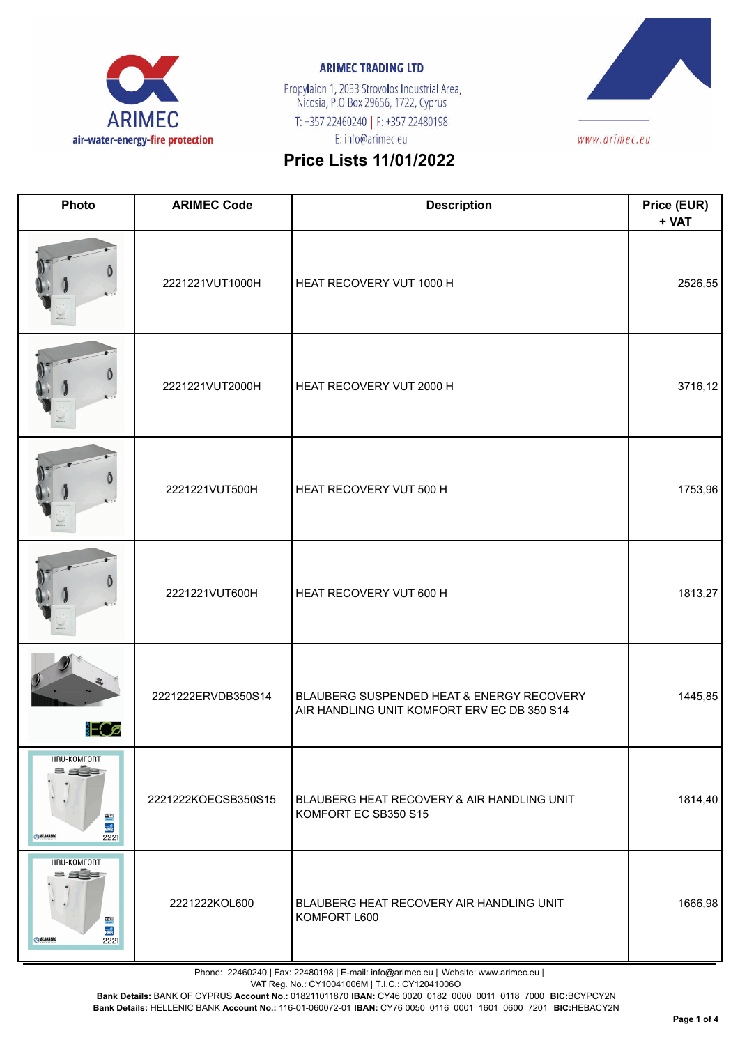

Propylaion 1, 2033 Strovolos Industrial Area,<br>Nicosia, P.O.Box 29656, 1722, Cyprus T: +357 22460240 | F: +357 22480198 E: info@arimec.eu



# **Price Lists 11/01/2022**

| Photo                                                                                  | <b>ARIMEC Code</b>  | <b>Description</b>                                                                       | Price (EUR)<br>+ VAT |
|----------------------------------------------------------------------------------------|---------------------|------------------------------------------------------------------------------------------|----------------------|
|                                                                                        | 2221221VUT1000H     | HEAT RECOVERY VUT 1000 H                                                                 | 2526,55              |
|                                                                                        | 2221221VUT2000H     | HEAT RECOVERY VUT 2000 H                                                                 | 3716,12              |
|                                                                                        | 2221221VUT500H      | HEAT RECOVERY VUT 500 H                                                                  | 1753,96              |
|                                                                                        | 2221221VUT600H      | HEAT RECOVERY VUT 600 H                                                                  | 1813,27              |
| <b>ECa</b>                                                                             | 2221222ERVDB350S14  | BLAUBERG SUSPENDED HEAT & ENERGY RECOVERY<br>AIR HANDLING UNIT KOMFORT ERV EC DB 350 S14 | 1445,85              |
| HRU-KOMFORT<br>a géa<br>$rac{1}{2}$<br>$rac{1}{\text{BMS}}$<br>2221<br><b>BLAUBERG</b> | 2221222KOECSB350S15 | BLAUBERG HEAT RECOVERY & AIR HANDLING UNIT<br>KOMFORT EC SB350 S15                       | 1814,40              |
| HRU-KOMFORT<br><u>= age</u><br><b>WIED</b><br>BMS<br><b>BLAUBERG</b><br>2221           | 2221222KOL600       | BLAUBERG HEAT RECOVERY AIR HANDLING UNIT<br>KOMFORT L600                                 | 1666,98              |

Phone: 22460240 | Fax: 22480198 | E-mail: info@arimec.eu | Website: www.arimec.eu |

VAT Reg. No.: CY10041006M | T.I.C.: CY12041006O

**Bank Details:** BANK OF CYPRUS **Account No.:** 018211011870 **IBAN:** CY46 0020 0182 0000 0011 0118 7000 **BIC:**BCYPCY2N

**Bank Details:** HELLENIC BANK **Account No.:** 116-01-060072-01 **IBAN:** CY76 0050 0116 0001 1601 0600 7201 **BIC:**HEBACY2N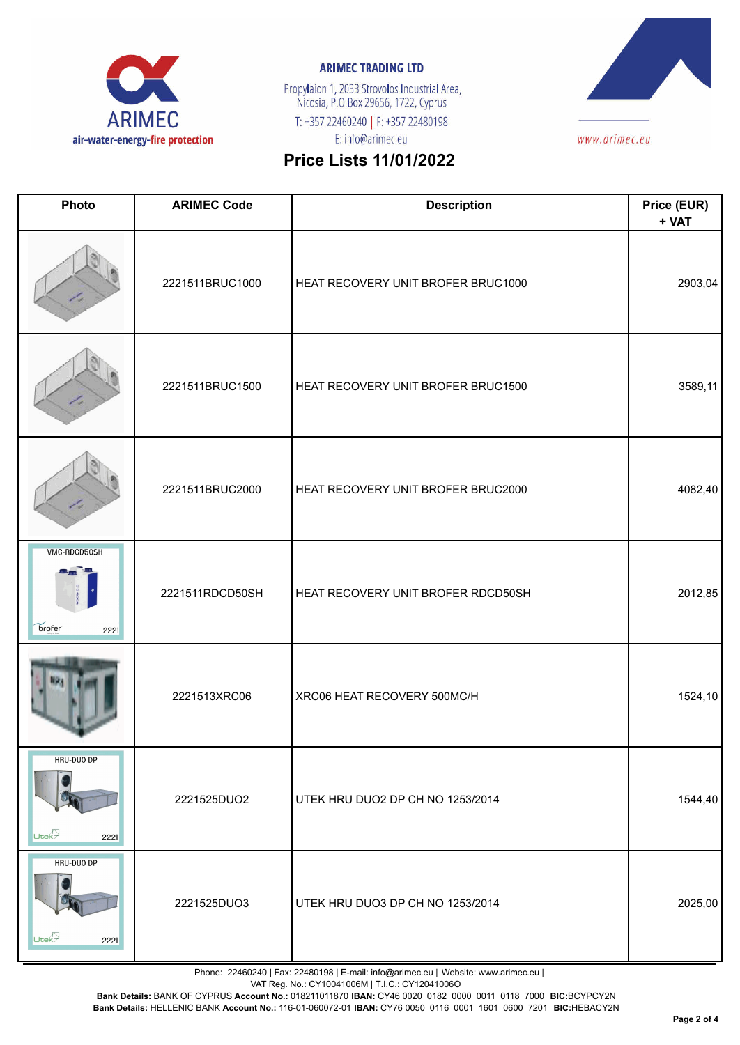

Propylaion 1, 2033 Strovolos Industrial Area,<br>Nicosia, P.O.Box 29656, 1722, Cyprus T: +357 22460240 | F: +357 22480198 E: info@arimec.eu



# **Price Lists 11/01/2022**

| Photo                                              | <b>ARIMEC Code</b> | <b>Description</b>                 | Price (EUR)<br>+ VAT |
|----------------------------------------------------|--------------------|------------------------------------|----------------------|
|                                                    | 2221511BRUC1000    | HEAT RECOVERY UNIT BROFER BRUC1000 | 2903,04              |
|                                                    | 2221511BRUC1500    | HEAT RECOVERY UNIT BROFER BRUC1500 | 3589,11              |
|                                                    | 2221511BRUC2000    | HEAT RECOVERY UNIT BROFER BRUC2000 | 4082,40              |
| <b>VMC-RDCD50SH</b><br>brofer <sup>®</sup><br>2221 | 2221511RDCD50SH    | HEAT RECOVERY UNIT BROFER RDCD50SH | 2012,85              |
|                                                    | 2221513XRC06       | XRC06 HEAT RECOVERY 500MC/H        | 1524,10              |
| HRU-DUO DP<br>Utek?<br>2221                        | 2221525DUO2        | UTEK HRU DUO2 DP CH NO 1253/2014   | 1544,40              |
| HRU-DUO DP<br>Utek <sub>7</sub><br>2221            | 2221525DUO3        | UTEK HRU DUO3 DP CH NO 1253/2014   | 2025,00              |

Phone: 22460240 | Fax: 22480198 | E-mail: info@arimec.eu | Website: www.arimec.eu |

VAT Reg. No.: CY10041006M | T.I.C.: CY12041006O

**Bank Details:** BANK OF CYPRUS **Account No.:** 018211011870 **IBAN:** CY46 0020 0182 0000 0011 0118 7000 **BIC:**BCYPCY2N

**Bank Details:** HELLENIC BANK **Account No.:** 116-01-060072-01 **IBAN:** CY76 0050 0116 0001 1601 0600 7201 **BIC:**HEBACY2N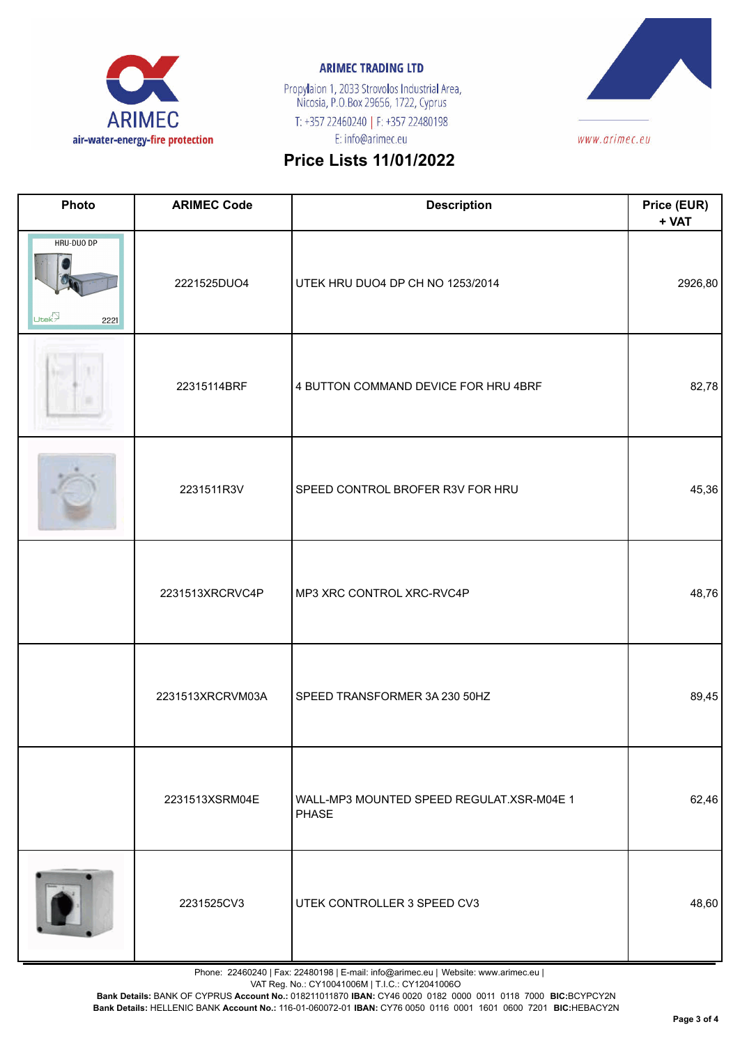

Propylaion 1, 2033 Strovolos Industrial Area,<br>Nicosia, P.O.Box 29656, 1722, Cyprus T: +357 22460240 | F: +357 22480198 E: info@arimec.eu



## **Price Lists 11/01/2022**

| Photo                                   | <b>ARIMEC Code</b> | <b>Description</b>                                 | Price (EUR)<br>+ VAT |
|-----------------------------------------|--------------------|----------------------------------------------------|----------------------|
| HRU-DUO DP<br>Utek <sup>2</sup><br>2221 | 2221525DUO4        | UTEK HRU DUO4 DP CH NO 1253/2014                   | 2926,80              |
| łн                                      | 22315114BRF        | 4 BUTTON COMMAND DEVICE FOR HRU 4BRF               | 82,78                |
|                                         | 2231511R3V         | SPEED CONTROL BROFER R3V FOR HRU                   | 45,36                |
|                                         | 2231513XRCRVC4P    | MP3 XRC CONTROL XRC-RVC4P                          | 48,76                |
|                                         | 2231513XRCRVM03A   | SPEED TRANSFORMER 3A 230 50HZ                      | 89,45                |
|                                         | 2231513XSRM04E     | WALL-MP3 MOUNTED SPEED REGULAT.XSR-M04E 1<br>PHASE | 62,46                |
|                                         | 2231525CV3         | UTEK CONTROLLER 3 SPEED CV3                        | 48,60                |

Phone: 22460240 | Fax: 22480198 | E-mail: info@arimec.eu | Website: www.arimec.eu |

VAT Reg. No.: CY10041006M | T.I.C.: CY12041006O

**Bank Details:** BANK OF CYPRUS **Account No.:** 018211011870 **IBAN:** CY46 0020 0182 0000 0011 0118 7000 **BIC:**BCYPCY2N

**Bank Details:** HELLENIC BANK **Account No.:** 116-01-060072-01 **IBAN:** CY76 0050 0116 0001 1601 0600 7201 **BIC:**HEBACY2N